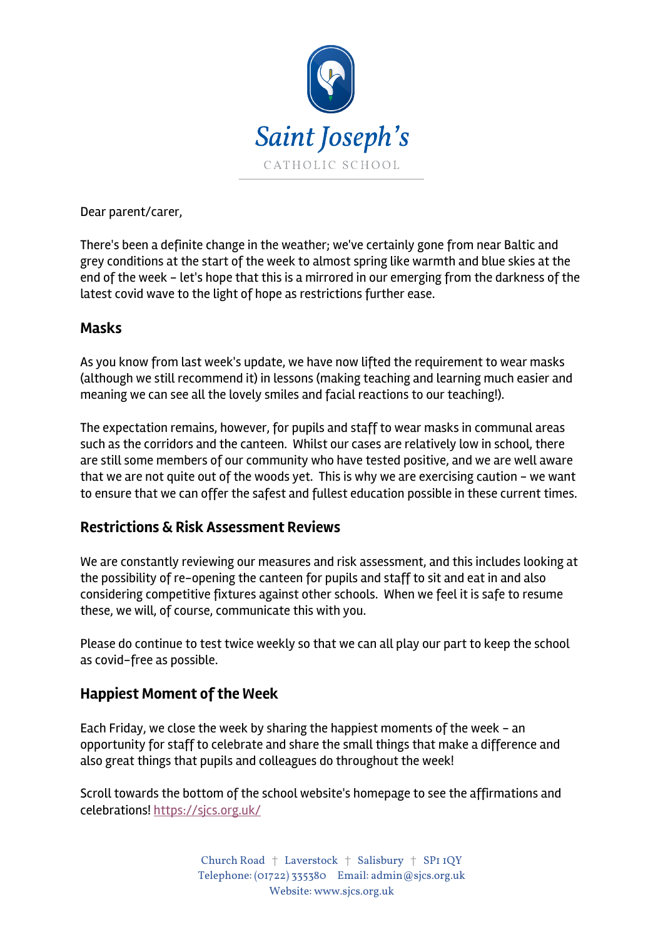

Dear parent/carer,

There's been a definite change in the weather; we've certainly gone from near Baltic and grey conditions at the start of the week to almost spring like warmth and blue skies at the end of the week - let's hope that this is a mirrored in our emerging from the darkness of the latest covid wave to the light of hope as restrictions further ease.

### **Masks**

As you know from last week's update, we have now lifted the requirement to wear masks (although we still recommend it) in lessons (making teaching and learning much easier and meaning we can see all the lovely smiles and facial reactions to our teaching!).

The expectation remains, however, for pupils and staff to wear masks in communal areas such as the corridors and the canteen. Whilst our cases are relatively low in school, there are still some members of our community who have tested positive, and we are well aware that we are not quite out of the woods yet. This is why we are exercising caution - we want to ensure that we can offer the safest and fullest education possible in these current times.

# **Restrictions & Risk Assessment Reviews**

We are constantly reviewing our measures and risk assessment, and this includes looking at the possibility of re-opening the canteen for pupils and staff to sit and eat in and also considering competitive fixtures against other schools. When we feel it is safe to resume these, we will, of course, communicate this with you.

Please do continue to test twice weekly so that we can all play our part to keep the school as covid-free as possible.

# **Happiest Moment of the Week**

Each Friday, we close the week by sharing the happiest moments of the week - an opportunity for staff to celebrate and share the small things that make a difference and also great things that pupils and colleagues do throughout the week!

Scroll towards the bottom of the school website's homepage to see the affirmations and celebrations! https://sjcs.org.uk/

> Church Road † Laverstock † Salisbury † SP1 1QY Telephone: (01722) 335380 Email: admin@sjcs.org.uk Website: www.sjcs.org.uk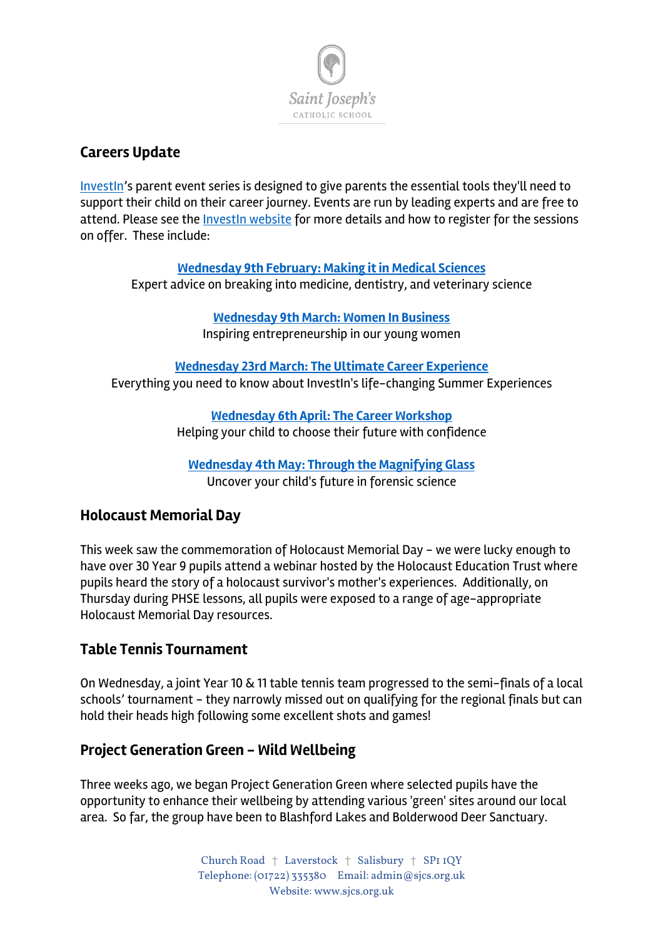

## **Careers Update**

InvestIn's parent event series is designed to give parents the essential tools they'll need to support their child on their career journey. Events are run by leading experts and are free to attend. Please see the InvestIn website for more details and how to register for the sessions on offer. These include:

**Wednesday 9th February: Making it in Medical Sciences**

Expert advice on breaking into medicine, dentistry, and veterinary science

**Wednesday 9th March: Women In Business** Inspiring entrepreneurship in our young women

**Wednesday 23rd March: The Ultimate Career Experience** Everything you need to know about InvestIn's life-changing Summer Experiences

> **Wednesday 6th April: The Career Workshop** Helping your child to choose their future with confidence

**Wednesday 4th May: Through the Magnifying Glass** Uncover your child's future in forensic science

### **Holocaust Memorial Day**

This week saw the commemoration of Holocaust Memorial Day - we were lucky enough to have over 30 Year 9 pupils attend a webinar hosted by the Holocaust Education Trust where pupils heard the story of a holocaust survivor's mother's experiences. Additionally, on Thursday during PHSE lessons, all pupils were exposed to a range of age-appropriate Holocaust Memorial Day resources.

# **Table Tennis Tournament**

On Wednesday, a joint Year 10 & 11 table tennis team progressed to the semi-finals of a local schools' tournament - they narrowly missed out on qualifying for the regional finals but can hold their heads high following some excellent shots and games!

### **Project Generation Green - Wild Wellbeing**

Three weeks ago, we began Project Generation Green where selected pupils have the opportunity to enhance their wellbeing by attending various 'green' sites around our local area. So far, the group have been to Blashford Lakes and Bolderwood Deer Sanctuary.

> Church Road † Laverstock † Salisbury † SP1 1QY Telephone: (01722) 335380 Email: admin@sjcs.org.uk Website: www.sjcs.org.uk